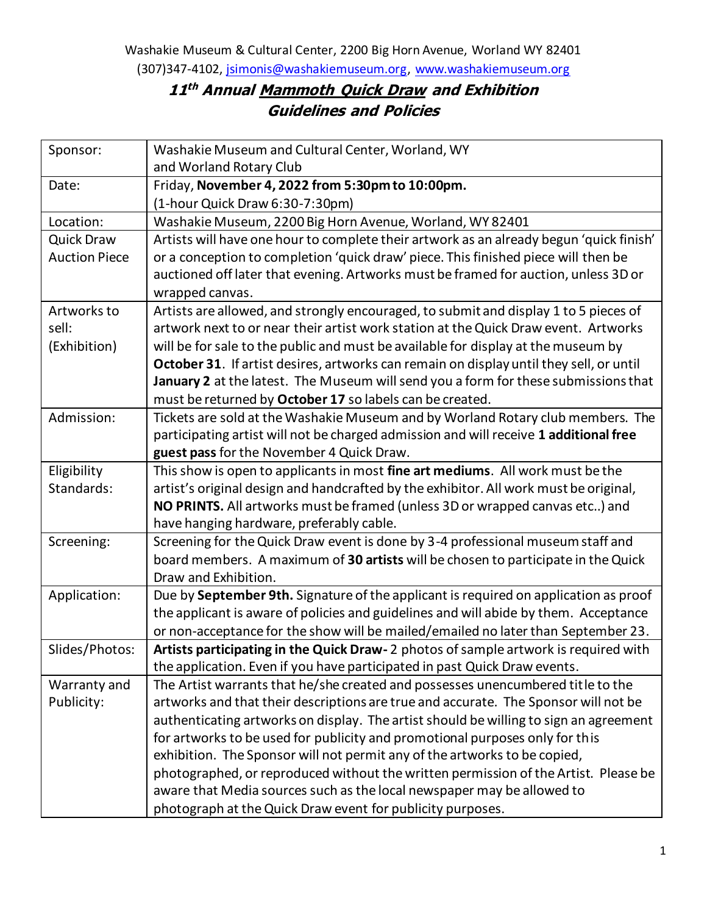## **11 th Annual Mammoth Quick Draw and Exhibition Guidelines and Policies**

| Sponsor:             | Washakie Museum and Cultural Center, Worland, WY                                        |
|----------------------|-----------------------------------------------------------------------------------------|
|                      | and Worland Rotary Club                                                                 |
| Date:                | Friday, November 4, 2022 from 5:30pm to 10:00pm.                                        |
|                      | (1-hour Quick Draw 6:30-7:30pm)                                                         |
| Location:            | Washakie Museum, 2200 Big Horn Avenue, Worland, WY 82401                                |
| <b>Quick Draw</b>    | Artists will have one hour to complete their artwork as an already begun 'quick finish' |
| <b>Auction Piece</b> | or a conception to completion 'quick draw' piece. This finished piece will then be      |
|                      | auctioned off later that evening. Artworks must be framed for auction, unless 3D or     |
|                      | wrapped canvas.                                                                         |
| Artworks to          | Artists are allowed, and strongly encouraged, to submit and display 1 to 5 pieces of    |
| sell:                | artwork next to or near their artist work station at the Quick Draw event. Artworks     |
| (Exhibition)         | will be for sale to the public and must be available for display at the museum by       |
|                      | October 31. If artist desires, artworks can remain on display until they sell, or until |
|                      | January 2 at the latest. The Museum will send you a form for these submissions that     |
|                      | must be returned by October 17 so labels can be created.                                |
| Admission:           | Tickets are sold at the Washakie Museum and by Worland Rotary club members. The         |
|                      | participating artist will not be charged admission and will receive 1 additional free   |
|                      | guest pass for the November 4 Quick Draw.                                               |
| Eligibility          | This show is open to applicants in most fine art mediums. All work must be the          |
| Standards:           | artist's original design and handcrafted by the exhibitor. All work must be original,   |
|                      | NO PRINTS. All artworks must be framed (unless 3D or wrapped canvas etc) and            |
|                      | have hanging hardware, preferably cable.                                                |
| Screening:           | Screening for the Quick Draw event is done by 3-4 professional museum staff and         |
|                      | board members. A maximum of 30 artists will be chosen to participate in the Quick       |
|                      | Draw and Exhibition.                                                                    |
| Application:         | Due by September 9th. Signature of the applicant is required on application as proof    |
|                      | the applicant is aware of policies and guidelines and will abide by them. Acceptance    |
|                      | or non-acceptance for the show will be mailed/emailed no later than September 23.       |
| Slides/Photos:       | Artists participating in the Quick Draw-2 photos of sample artwork is required with     |
|                      | the application. Even if you have participated in past Quick Draw events.               |
| Warranty and         | The Artist warrants that he/she created and possesses unencumbered title to the         |
| Publicity:           | artworks and that their descriptions are true and accurate. The Sponsor will not be     |
|                      | authenticating artworks on display. The artist should be willing to sign an agreement   |
|                      | for artworks to be used for publicity and promotional purposes only for this            |
|                      | exhibition. The Sponsor will not permit any of the artworks to be copied,               |
|                      | photographed, or reproduced without the written permission of the Artist. Please be     |
|                      | aware that Media sources such as the local newspaper may be allowed to                  |
|                      | photograph at the Quick Draw event for publicity purposes.                              |